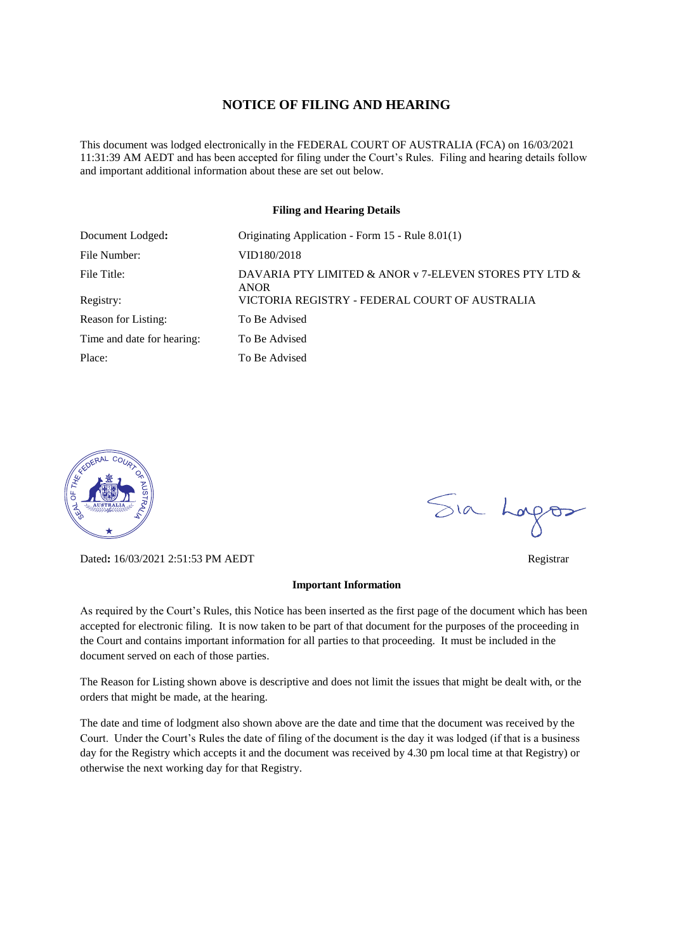#### **NOTICE OF FILING AND HEARING**

This document was lodged electronically in the FEDERAL COURT OF AUSTRALIA (FCA) on 16/03/2021 11:31:39 AM AEDT and has been accepted for filing under the Court's Rules. Filing and hearing details follow and important additional information about these are set out below.

#### **Filing and Hearing Details**

| Document Lodged:           | Originating Application - Form 15 - Rule 8.01(1)                      |
|----------------------------|-----------------------------------------------------------------------|
| File Number:               | VID180/2018                                                           |
| File Title:                | DAVARIA PTY LIMITED & ANOR v 7-ELEVEN STORES PTY LTD &<br><b>ANOR</b> |
| Registry:                  | VICTORIA REGISTRY - FEDERAL COURT OF AUSTRALIA                        |
| Reason for Listing:        | To Be Advised                                                         |
| Time and date for hearing: | To Be Advised                                                         |
| Place:                     | To Be Advised                                                         |



Dated**:** 16/03/2021 2:51:53 PM AEDT Registrar

#### **Important Information**

As required by the Court's Rules, this Notice has been inserted as the first page of the document which has been accepted for electronic filing. It is now taken to be part of that document for the purposes of the proceeding in the Court and contains important information for all parties to that proceeding. It must be included in the document served on each of those parties.

The Reason for Listing shown above is descriptive and does not limit the issues that might be dealt with, or the orders that might be made, at the hearing.

The date and time of lodgment also shown above are the date and time that the document was received by the Court. Under the Court's Rules the date of filing of the document is the day it was lodged (if that is a business day for the Registry which accepts it and the document was received by 4.30 pm local time at that Registry) or otherwise the next working day for that Registry.

Sia Logos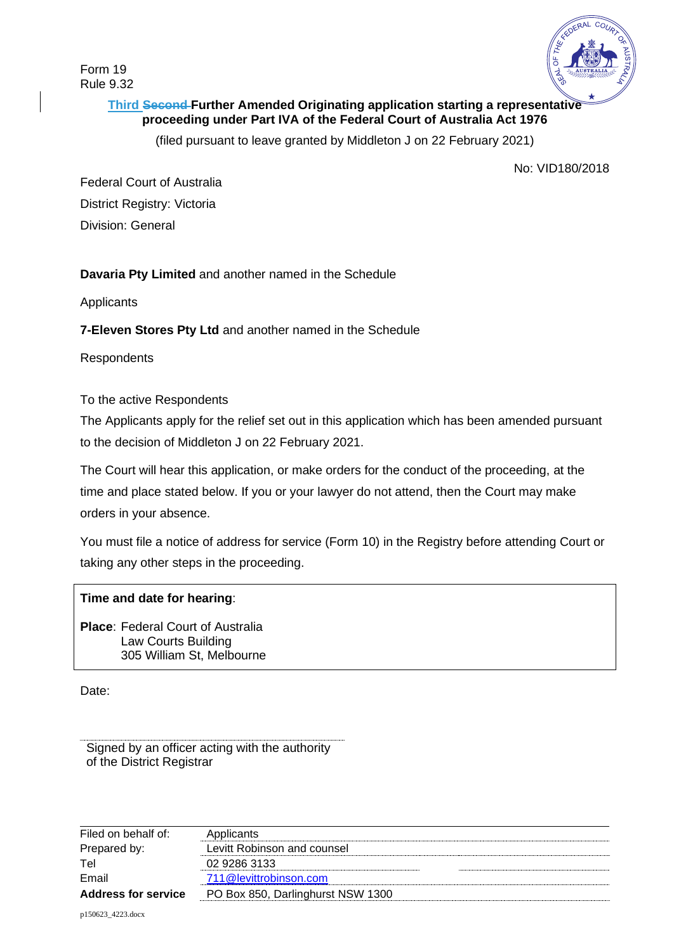Form 19 Rule 9.32



# **Third Second Further Amended Originating application starting a representative proceeding under Part IVA of the Federal Court of Australia Act 1976**

(filed pursuant to leave granted by Middleton J on 22 February 2021)

No: VID180/2018

Federal Court of Australia District Registry: Victoria Division: General

# **Davaria Pty Limited** and another named in the Schedule

Applicants

**7-Eleven Stores Pty Ltd** and another named in the Schedule

**Respondents** 

To the active Respondents

The Applicants apply for the relief set out in this application which has been amended pursuant to the decision of Middleton J on 22 February 2021.

The Court will hear this application, or make orders for the conduct of the proceeding, at the time and place stated below. If you or your lawyer do not attend, then the Court may make orders in your absence.

You must file a notice of address for service (Form 10) in the Registry before attending Court or taking any other steps in the proceeding.

# **Time and date for hearing**:

**Place**: Federal Court of Australia Law Courts Building 305 William St, Melbourne

Date:

Signed by an officer acting with the authority of the District Registrar

| Filed on behalf of:        | Applicants                        |
|----------------------------|-----------------------------------|
| Prepared by:               | Levitt Robinson and counsel       |
| Tel                        | 02 9286 3133                      |
| Email                      | 711@levittrobinson.com            |
| <b>Address for service</b> | PO Box 850, Darlinghurst NSW 1300 |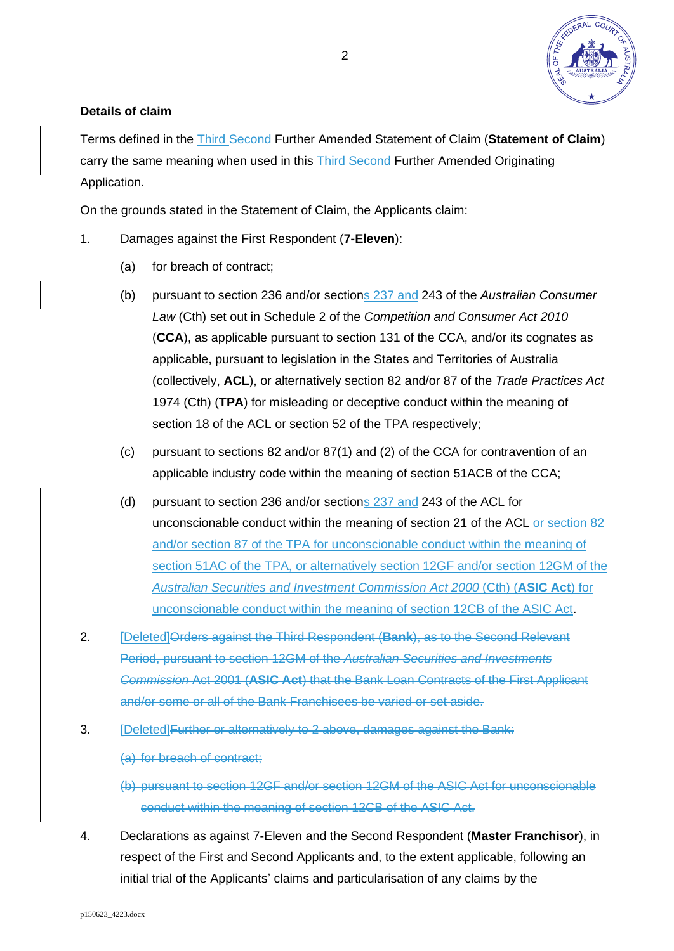

# **Details of claim**

Terms defined in the Third Second Further Amended Statement of Claim (**Statement of Claim**) carry the same meaning when used in this Third Second Further Amended Originating Application.

On the grounds stated in the Statement of Claim, the Applicants claim:

- 1. Damages against the First Respondent (**7-Eleven**):
	- (a) for breach of contract;
	- (b) pursuant to section 236 and/or sections 237 and 243 of the *Australian Consumer Law* (Cth) set out in Schedule 2 of the *Competition and Consumer Act 2010* (**CCA**), as applicable pursuant to section 131 of the CCA, and/or its cognates as applicable, pursuant to legislation in the States and Territories of Australia (collectively, **ACL**), or alternatively section 82 and/or 87 of the *Trade Practices Act* 1974 (Cth) (**TPA**) for misleading or deceptive conduct within the meaning of section 18 of the ACL or section 52 of the TPA respectively;
	- (c) pursuant to sections 82 and/or 87(1) and (2) of the CCA for contravention of an applicable industry code within the meaning of section 51ACB of the CCA;
	- (d) pursuant to section 236 and/or sections 237 and 243 of the ACL for unconscionable conduct within the meaning of section 21 of the ACL or section 82 and/or section 87 of the TPA for unconscionable conduct within the meaning of section 51AC of the TPA, or alternatively section 12GF and/or section 12GM of the *Australian Securities and Investment Commission Act 2000* (Cth) (**ASIC Act**) for unconscionable conduct within the meaning of section 12CB of the ASIC Act.
- <span id="page-2-0"></span>2. [Deleted]Orders against the Third Respondent (**Bank**), as to the Second Relevant Period, pursuant to section 12GM of the *Australian Securities and Investments Commission* Act 2001 (**ASIC Act**) that the Bank Loan Contracts of the First Applicant and/or some or all of the Bank Franchisees be varied or set aside.
- 3. [Deleted]Further or alternatively to [2](#page-2-0) above, damages against the Bank:

(a) for breach of contract;

(b) pursuant to section 12GF and/or section 12GM of the ASIC Act for unconscionable conduct within the meaning of section 12CB of the ASIC Act.

4. Declarations as against 7-Eleven and the Second Respondent (**Master Franchisor**), in respect of the First and Second Applicants and, to the extent applicable, following an initial trial of the Applicants' claims and particularisation of any claims by the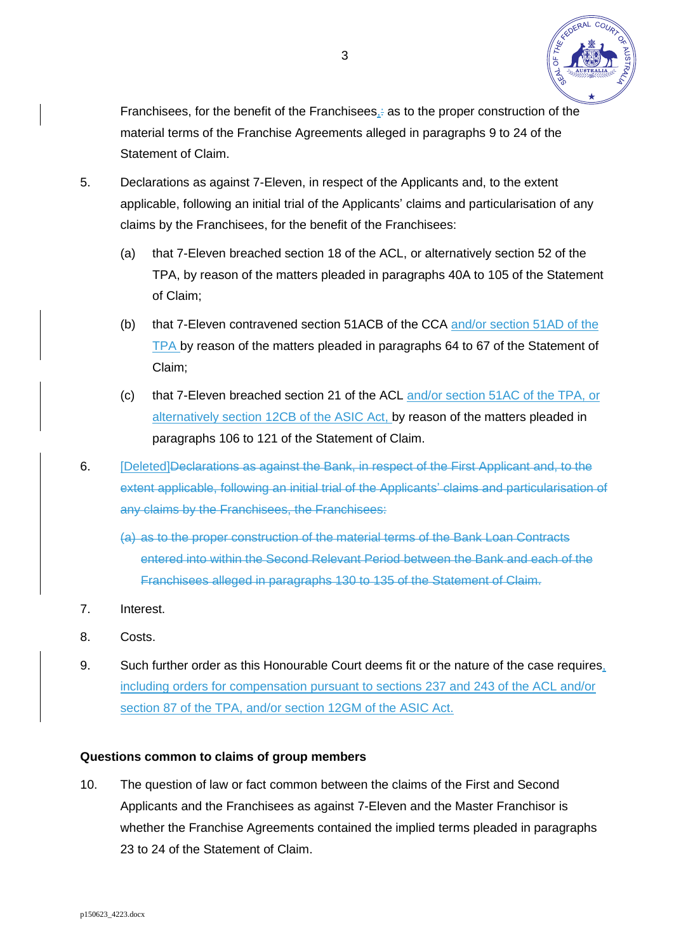

Franchisees, for the benefit of the Franchisees, as to the proper construction of the material terms of the Franchise Agreements alleged in paragraphs 9 to 24 of the Statement of Claim.

- 5. Declarations as against 7-Eleven, in respect of the Applicants and, to the extent applicable, following an initial trial of the Applicants' claims and particularisation of any claims by the Franchisees, for the benefit of the Franchisees:
	- (a) that 7-Eleven breached section 18 of the ACL, or alternatively section 52 of the TPA, by reason of the matters pleaded in paragraphs 40A to 105 of the Statement of Claim;
	- (b) that 7-Eleven contravened section 51ACB of the CCA and/or section 51AD of the TPA by reason of the matters pleaded in paragraphs 64 to 67 of the Statement of Claim;
	- (c) that 7-Eleven breached section 21 of the ACL and/or section 51AC of the TPA, or alternatively section 12CB of the ASIC Act, by reason of the matters pleaded in paragraphs 106 to 121 of the Statement of Claim.
- 6. **[Deleted]Declarations as against the Bank, in respect of the First Applicant and, to the** extent applicable, following an initial trial of the Applicants' claims and particularisation of any claims by the Franchisees, the Franchisees:
	- (a) as to the proper construction of the material terms of the Bank Loan Contracts entered into within the Second Relevant Period between the Bank and each of the Franchisees alleged in paragraphs 130 to 135 of the Statement of Claim.
- 7. Interest.
- 8. Costs.
- 9. Such further order as this Honourable Court deems fit or the nature of the case requires, including orders for compensation pursuant to sections 237 and 243 of the ACL and/or section 87 of the TPA, and/or section 12GM of the ASIC Act.

## **Questions common to claims of group members**

10. The question of law or fact common between the claims of the First and Second Applicants and the Franchisees as against 7-Eleven and the Master Franchisor is whether the Franchise Agreements contained the implied terms pleaded in paragraphs 23 to 24 of the Statement of Claim.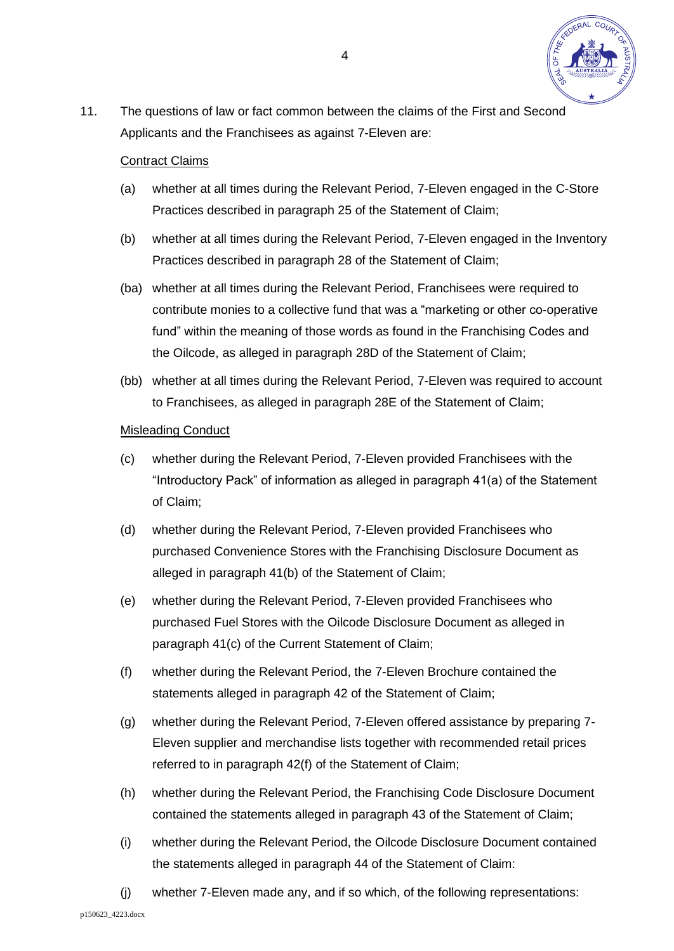

11. The questions of law or fact common between the claims of the First and Second Applicants and the Franchisees as against 7-Eleven are:

## Contract Claims

- (a) whether at all times during the Relevant Period, 7-Eleven engaged in the C-Store Practices described in paragraph 25 of the Statement of Claim;
- (b) whether at all times during the Relevant Period, 7-Eleven engaged in the Inventory Practices described in paragraph 28 of the Statement of Claim;
- (ba) whether at all times during the Relevant Period, Franchisees were required to contribute monies to a collective fund that was a "marketing or other co-operative fund" within the meaning of those words as found in the Franchising Codes and the Oilcode, as alleged in paragraph 28D of the Statement of Claim;
- (bb) whether at all times during the Relevant Period, 7-Eleven was required to account to Franchisees, as alleged in paragraph 28E of the Statement of Claim;

## Misleading Conduct

- (c) whether during the Relevant Period, 7-Eleven provided Franchisees with the "Introductory Pack" of information as alleged in paragraph 41(a) of the Statement of Claim;
- (d) whether during the Relevant Period, 7-Eleven provided Franchisees who purchased Convenience Stores with the Franchising Disclosure Document as alleged in paragraph 41(b) of the Statement of Claim;
- (e) whether during the Relevant Period, 7-Eleven provided Franchisees who purchased Fuel Stores with the Oilcode Disclosure Document as alleged in paragraph 41(c) of the Current Statement of Claim;
- (f) whether during the Relevant Period, the 7-Eleven Brochure contained the statements alleged in paragraph 42 of the Statement of Claim;
- (g) whether during the Relevant Period, 7-Eleven offered assistance by preparing 7- Eleven supplier and merchandise lists together with recommended retail prices referred to in paragraph 42(f) of the Statement of Claim;
- (h) whether during the Relevant Period, the Franchising Code Disclosure Document contained the statements alleged in paragraph 43 of the Statement of Claim;
- (i) whether during the Relevant Period, the Oilcode Disclosure Document contained the statements alleged in paragraph 44 of the Statement of Claim:
- (j) whether 7-Eleven made any, and if so which, of the following representations: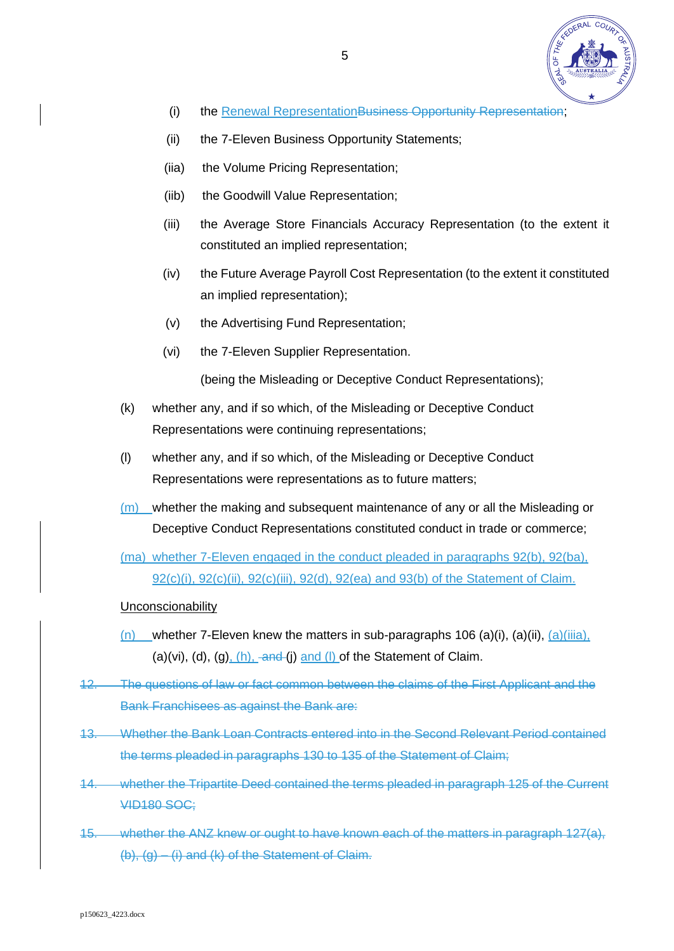

- (i) the Renewal RepresentationBusiness Opportunity Representation;
- (ii) the 7-Eleven Business Opportunity Statements;
- (iia) the Volume Pricing Representation;
- (iib) the Goodwill Value Representation;
- (iii) the Average Store Financials Accuracy Representation (to the extent it constituted an implied representation;
- (iv) the Future Average Payroll Cost Representation (to the extent it constituted an implied representation);
- (v) the Advertising Fund Representation;
- (vi) the 7-Eleven Supplier Representation.

(being the Misleading or Deceptive Conduct Representations);

- (k) whether any, and if so which, of the Misleading or Deceptive Conduct Representations were continuing representations;
- (l) whether any, and if so which, of the Misleading or Deceptive Conduct Representations were representations as to future matters;
- (m) whether the making and subsequent maintenance of any or all the Misleading or Deceptive Conduct Representations constituted conduct in trade or commerce;
- (ma) whether 7-Eleven engaged in the conduct pleaded in paragraphs 92(b), 92(ba), 92(c)(i), 92(c)(ii), 92(c)(iii), 92(d), 92(ea) and 93(b) of the Statement of Claim.
- **Unconscionability**
- $(n)$  whether 7-Eleven knew the matters in sub-paragraphs 106 (a)(i), (a)(ii),  $(a)$ (iiia), (a)(vi), (d), (g),  $(h)$ ,  $\overline{and}$  (j) and (l) of the Statement of Claim.
- 12. The questions of law or fact common between the claims of the First Applicant and the Bank Franchisees as against the Bank are:
- 13. Whether the Bank Loan Contracts entered into in the Second Relevant Period contained the terms pleaded in paragraphs 130 to 135 of the Statement of Claim;
- 14. whether the Tripartite Deed contained the terms pleaded in paragraph 125 of the Current VID180 SOC;
- 15. whether the ANZ knew or ought to have known each of the matters in paragraph 127(a),  $(b)$ ,  $(g) - (i)$  and  $(k)$  of the Statement of Claim.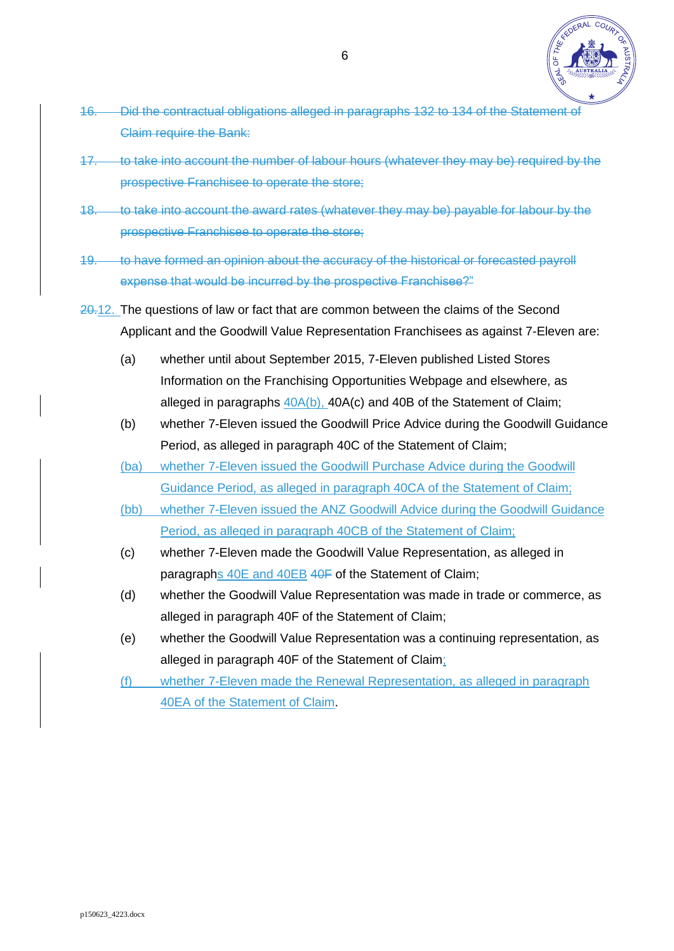

- 16. Did the contractual obligations alleged in paragraphs 132 to 134 of the Statement of Claim require the Bank:
- 17. to take into account the number of labour hours (whatever they may be) required by the prospective Franchisee to operate the store;
- 18. to take into account the award rates (whatever they may be) payable for labour by the prospective Franchisee to operate the store;
- 19. to have formed an opinion about the accuracy of the historical or forecasted payroll expense that would be incurred by the prospective Franchisee?"
- 20.12. The questions of law or fact that are common between the claims of the Second Applicant and the Goodwill Value Representation Franchisees as against 7-Eleven are:
	- (a) whether until about September 2015, 7-Eleven published Listed Stores Information on the Franchising Opportunities Webpage and elsewhere, as alleged in paragraphs 40A(b), 40A(c) and 40B of the Statement of Claim;
	- (b) whether 7-Eleven issued the Goodwill Price Advice during the Goodwill Guidance Period, as alleged in paragraph 40C of the Statement of Claim;
	- (ba) whether 7-Eleven issued the Goodwill Purchase Advice during the Goodwill Guidance Period, as alleged in paragraph 40CA of the Statement of Claim;
	- (bb) whether 7-Eleven issued the ANZ Goodwill Advice during the Goodwill Guidance Period, as alleged in paragraph 40CB of the Statement of Claim;
	- (c) whether 7-Eleven made the Goodwill Value Representation, as alleged in paragraphs 40E and 40EB 40F of the Statement of Claim;
	- (d) whether the Goodwill Value Representation was made in trade or commerce, as alleged in paragraph 40F of the Statement of Claim;
	- (e) whether the Goodwill Value Representation was a continuing representation, as alleged in paragraph 40F of the Statement of Claim;
	- (f) whether 7-Eleven made the Renewal Representation, as alleged in paragraph 40EA of the Statement of Claim.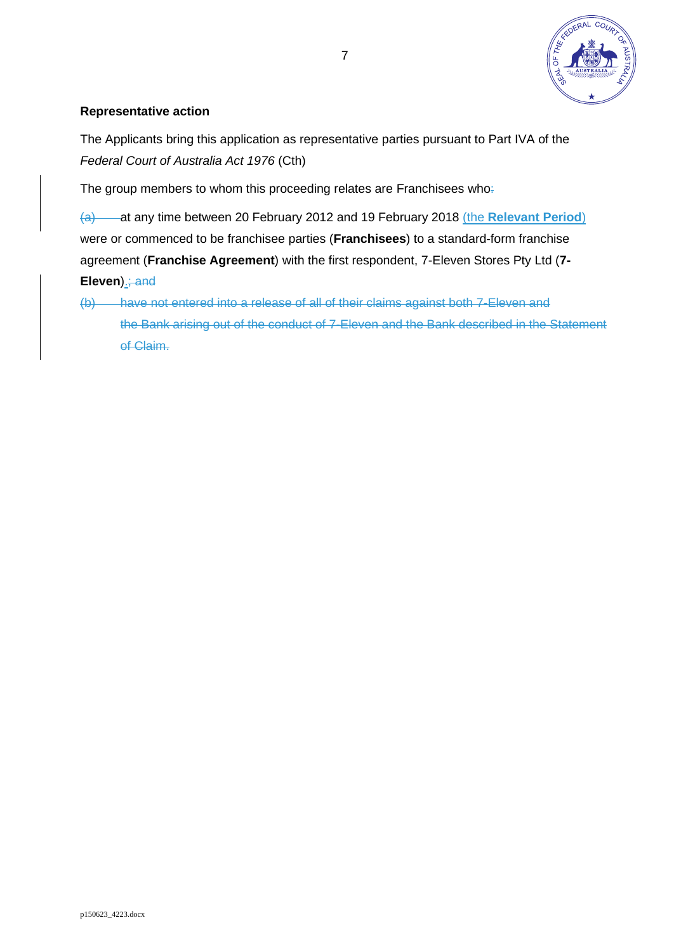

## **Representative action**

The Applicants bring this application as representative parties pursuant to Part IVA of the *Federal Court of Australia Act 1976* (Cth)

The group members to whom this proceeding relates are Franchisees who:

(a) at any time between 20 February 2012 and 19 February 2018 (the **Relevant Period**) were or commenced to be franchisee parties (**Franchisees**) to a standard-form franchise agreement (**Franchise Agreement**) with the first respondent, 7-Eleven Stores Pty Ltd (**7- Eleven**).; and

(b) have not entered into a release of all of their claims against both 7-Eleven and the Bank arising out of the conduct of 7-Eleven and the Bank described in the Statement of Claim.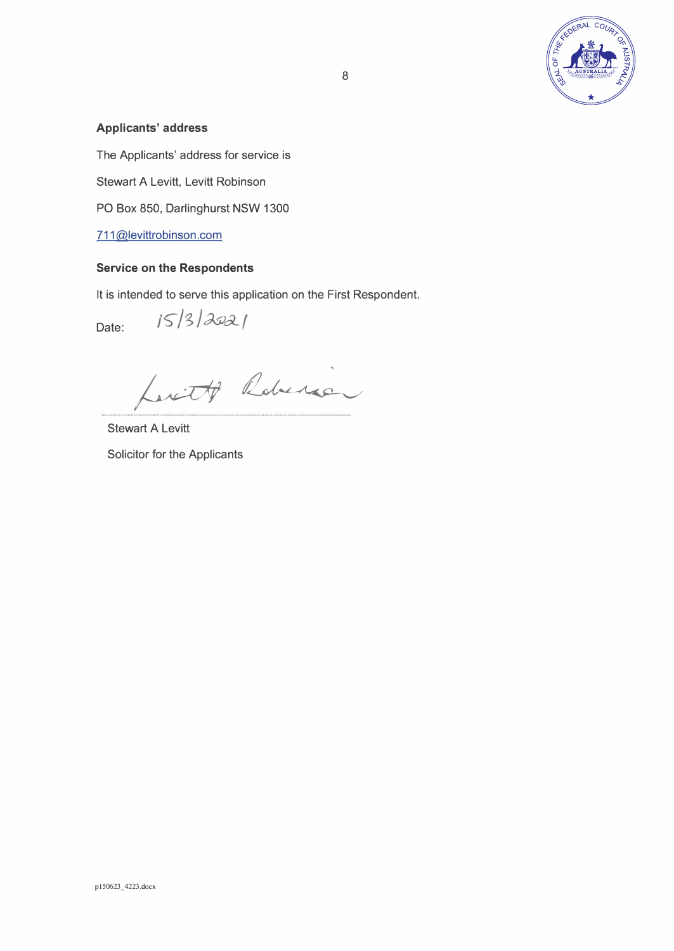

### **Applicants' address**

The Applicants' address for service is

Stewart A Levitt, Levitt Robinson

PO Box 850, Darlinghurst NSW 1300

 $15/3/2021$ 

711@levittrobinson.com

### **Service on the Respondents**

It is intended to serve this application on the First Respondent.

Date:

Luit Roberto

Stewart A Levitt Solicitor for the Applicants